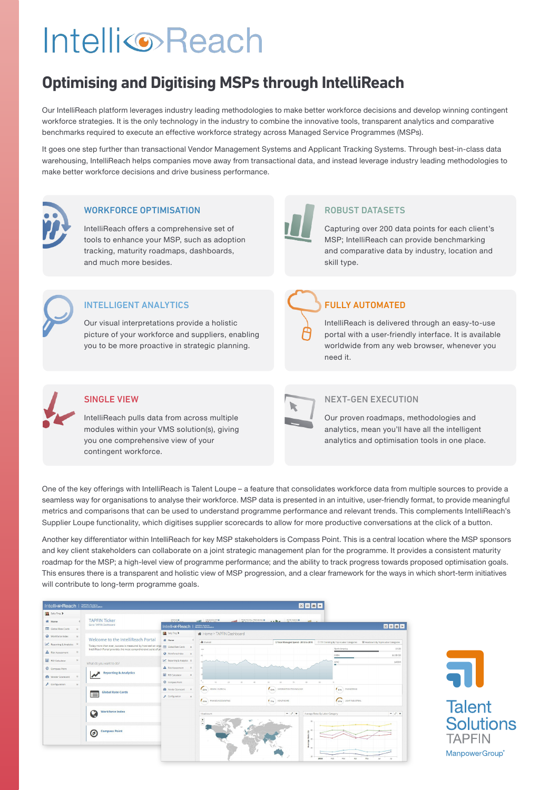# **IntelliReach**

# **Optimising and Digitising MSPs through IntelliReach**

Our IntelliReach platform leverages industry leading methodologies to make better workforce decisions and develop winning contingent workforce strategies. It is the only technology in the industry to combine the innovative tools, transparent analytics and comparative benchmarks required to execute an effective workforce strategy across Managed Service Programmes (MSPs).

It goes one step further than transactional Vendor Management Systems and Applicant Tracking Systems. Through best-in-class data warehousing, IntelliReach helps companies move away from transactional data, and instead leverage industry leading methodologies to make better workforce decisions and drive business performance.



### WORKFORCE OPTIMISATION

IntelliReach offers a comprehensive set of tools to enhance your MSP, such as adoption tracking, maturity roadmaps, dashboards, and much more besides.



### INTELLIGENT ANALYTICS

Our visual interpretations provide a holistic picture of your workforce and suppliers, enabling you to be more proactive in strategic planning.



### ROBUST DATASETS

Capturing over 200 data points for each client's MSP; IntelliReach can provide benchmarking and comparative data by industry, location and skill type.

## FULLY AUTOMATED

IntelliReach is delivered through an easy-to-use portal with a user-friendly interface. It is available worldwide from any web browser, whenever you need it.



### SINGLE VIEW

IntelliReach pulls data from across multiple modules within your VMS solution(s), giving you one comprehensive view of your contingent workforce.

### NEXT-GEN EXECUTION

Our proven roadmaps, methodologies and analytics, mean you'll have all the intelligent analytics and optimisation tools in one place.

One of the key offerings with IntelliReach is Talent Loupe – a feature that consolidates workforce data from multiple sources to provide a seamless way for organisations to analyse their workforce. MSP data is presented in an intuitive, user-friendly format, to provide meaningful metrics and comparisons that can be used to understand programme performance and relevant trends. This complements IntelliReach's Supplier Loupe functionality, which digitises supplier scorecards to allow for more productive conversations at the click of a button.

Another key differentiator within IntelliReach for key MSP stakeholders is Compass Point. This is a central location where the MSP sponsors and key client stakeholders can collaborate on a joint strategic management plan for the programme. It provides a consistent maturity roadmap for the MSP; a high-level view of programme performance; and the ability to track progress towards proposed optimisation goals. This ensures there is a transparent and holistic view of MSP progression, and a clear framework for the ways in which short-term initiatives will contribute to long-term programme goals.

| IntelligoReach   MATRIX Pertaits |               |                                                                                                                                                              |                           | 図目図画                                         |                                    |                                       |                                                                                  |             |  |
|----------------------------------|---------------|--------------------------------------------------------------------------------------------------------------------------------------------------------------|---------------------------|----------------------------------------------|------------------------------------|---------------------------------------|----------------------------------------------------------------------------------|-------------|--|
| Sally Ting >                     |               |                                                                                                                                                              |                           |                                              |                                    |                                       |                                                                                  |             |  |
| <b>W</b> Home                    |               | <b>TAPFIN Ticker</b>                                                                                                                                         | SPEND O                   | OTHER MEASURE                                | <b>ALL TIME TO FILL TRENDING O</b> | a adha RATEINDEKO<br>$-10-1$          |                                                                                  |             |  |
| Global Rate Cards                | $\Theta$      | Go to TAPFIN Dashboard<br>図目図画<br>Intelli®Reach   With Water                                                                                                 |                           |                                              |                                    |                                       |                                                                                  |             |  |
| Workforce Index                  | $\Theta$      |                                                                                                                                                              | <b>In Sally Ting &gt;</b> | ₩ Home > TAPFIN Dashboard                    |                                    |                                       |                                                                                  |             |  |
| A Reporting & Analytics 19       |               | Welcome to the IntelliReach Portal                                                                                                                           | <b>W</b> Home             | di Overall                                   |                                    | \$ Total Managed Spend - 2012 to 2016 | O TTF Trending By Top 6 Labor Categories  (@ Headcount By Top 6 Labor Categories |             |  |
|                                  |               | Today more than ever, success is measured by how well an organization Global Rate Cards a<br>IntelliReach Portal provides the most comprehensive suite of pr |                           | 100                                          |                                    |                                       | North America                                                                    | \$9.08      |  |
| A Risk Assessment                | $\omega$      |                                                                                                                                                              | Workforce Index @         |                                              |                                    |                                       | EMEA                                                                             | \$4.08 GB   |  |
| ROI Calculator                   | $\circ$       | What do you want to do?                                                                                                                                      | M Reporting & Analytics @ |                                              |                                    |                                       | APAC<br>÷                                                                        | \$400M      |  |
| Compass Point                    |               |                                                                                                                                                              | A Rok Assessment a        |                                              |                                    |                                       |                                                                                  |             |  |
| <b>GB</b> Vendor Scorecard       | $\sim$        | <b>Reporting &amp; Analytics</b>                                                                                                                             | <b>R</b> ROI Calculator   |                                              |                                    |                                       |                                                                                  |             |  |
| Configuration                    | $\omega$      |                                                                                                                                                              | Compass Point             | 20                                           |                                    |                                       |                                                                                  |             |  |
|                                  |               | <b>Global Rate Cards</b><br>E                                                                                                                                |                           | $\mathcal{L}_{\text{BS}}$<br>ADMINI CLERICAL | $L_{0\%}$                          | INFORMATION TECHNOLOGY                | ENGINEERING<br>18%                                                               |             |  |
|                                  |               |                                                                                                                                                              | & Configuration           |                                              |                                    |                                       |                                                                                  |             |  |
|                                  |               |                                                                                                                                                              |                           | 12% FINANCE/ACCOUNTING                       | $F_{796}$                          | HEALTHCARE                            | LIGHT INDUSTRIAL<br>$\epsilon_{yy}$                                              |             |  |
|                                  |               | <b>Workforce Index</b>                                                                                                                                       |                           |                                              |                                    |                                       |                                                                                  |             |  |
|                                  |               | Q                                                                                                                                                            |                           | Headcount                                    |                                    | $ \angle$ x                           | Average Rates By Labor Category                                                  | $ \angle$ x |  |
|                                  |               |                                                                                                                                                              |                           | $\frac{+}{-}$                                |                                    |                                       |                                                                                  |             |  |
|                                  |               | <b>Compass Point</b>                                                                                                                                         |                           |                                              |                                    | <b>AD</b><br>ê                        |                                                                                  |             |  |
|                                  | $\bm{\sigma}$ |                                                                                                                                                              |                           |                                              |                                    | ž                                     |                                                                                  |             |  |
|                                  |               |                                                                                                                                                              |                           |                                              |                                    | ž                                     |                                                                                  |             |  |
|                                  |               |                                                                                                                                                              |                           |                                              |                                    |                                       |                                                                                  |             |  |
|                                  |               |                                                                                                                                                              |                           |                                              |                                    | 10                                    |                                                                                  |             |  |